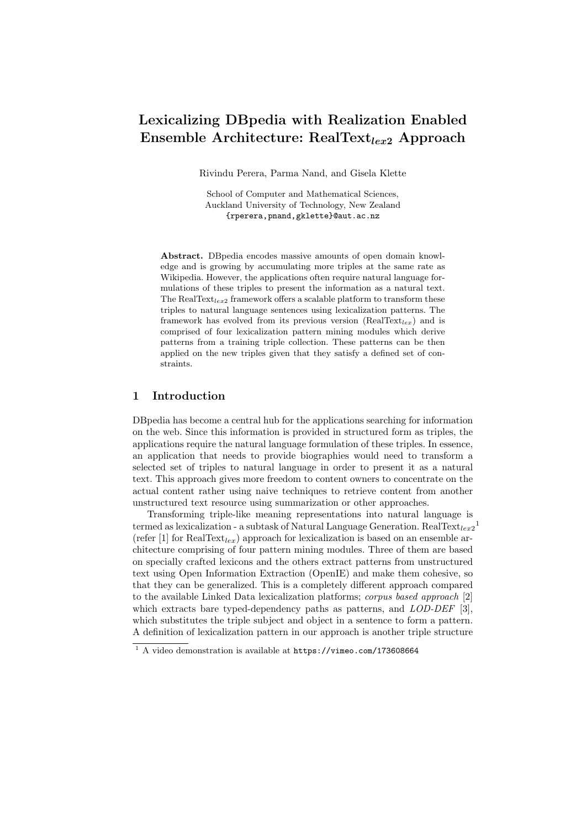# Lexicalizing DBpedia with Realization Enabled Ensemble Architecture:  $RealText<sub>lex2</sub>$  Approach

Rivindu Perera, Parma Nand, and Gisela Klette

School of Computer and Mathematical Sciences, Auckland University of Technology, New Zealand {rperera,pnand,gklette}@aut.ac.nz

Abstract. DBpedia encodes massive amounts of open domain knowledge and is growing by accumulating more triples at the same rate as Wikipedia. However, the applications often require natural language formulations of these triples to present the information as a natural text. The RealText<sub>lex2</sub> framework offers a scalable platform to transform these triples to natural language sentences using lexicalization patterns. The framework has evolved from its previous version (RealText<sub>lex</sub>) and is comprised of four lexicalization pattern mining modules which derive patterns from a training triple collection. These patterns can be then applied on the new triples given that they satisfy a defined set of constraints.

## 1 Introduction

DBpedia has become a central hub for the applications searching for information on the web. Since this information is provided in structured form as triples, the applications require the natural language formulation of these triples. In essence, an application that needs to provide biographies would need to transform a selected set of triples to natural language in order to present it as a natural text. This approach gives more freedom to content owners to concentrate on the actual content rather using naive techniques to retrieve content from another unstructured text resource using summarization or other approaches.

Transforming triple-like meaning representations into natural language is termed as lexicalization - a subtask of Natural Language Generation.  $\text{RealText}_{lex2}^1$  $\text{RealText}_{lex2}^1$ (refer [\[1\]](#page-3-0) for RealText<sub>lex</sub>) approach for lexicalization is based on an ensemble architecture comprising of four pattern mining modules. Three of them are based on specially crafted lexicons and the others extract patterns from unstructured text using Open Information Extraction (OpenIE) and make them cohesive, so that they can be generalized. This is a completely different approach compared to the available Linked Data lexicalization platforms; corpus based approach [\[2\]](#page-3-1) which extracts bare typed-dependency paths as patterns, and *LOD-DEF* [\[3\]](#page-3-2), which substitutes the triple subject and object in a sentence to form a pattern. A definition of lexicalization pattern in our approach is another triple structure

<span id="page-0-0"></span> $1$  A video demonstration is available at <https://vimeo.com/173608664>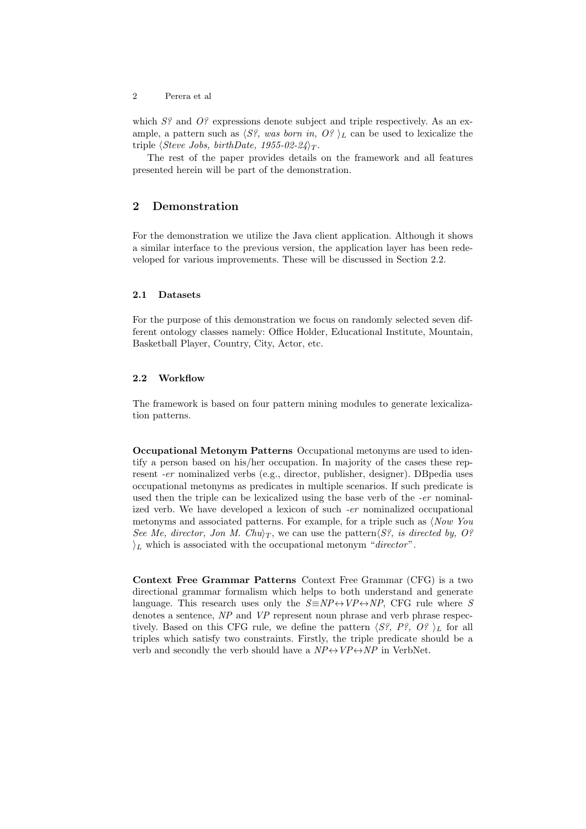2 Perera et al

which  $S<sup>2</sup>$  and  $O<sup>2</sup>$  expressions denote subject and triple respectively. As an example, a pattern such as  $\langle S^2,$  was born in,  $O^2$   $\vert_L$  can be used to lexicalize the triple  $\langle Steve\ Jobs,\ birthDate,\ 1955-02-24\rangle_T$ .

The rest of the paper provides details on the framework and all features presented herein will be part of the demonstration.

## 2 Demonstration

For the demonstration we utilize the Java client application. Although it shows a similar interface to the previous version, the application layer has been redeveloped for various improvements. These will be discussed in Section [2.2.](#page-1-0)

#### 2.1 Datasets

For the purpose of this demonstration we focus on randomly selected seven different ontology classes namely: Office Holder, Educational Institute, Mountain, Basketball Player, Country, City, Actor, etc.

#### <span id="page-1-0"></span>2.2 Workflow

The framework is based on four pattern mining modules to generate lexicalization patterns.

Occupational Metonym Patterns Occupational metonyms are used to identify a person based on his/her occupation. In majority of the cases these represent -er nominalized verbs (e.g., director, publisher, designer). DBpedia uses occupational metonyms as predicates in multiple scenarios. If such predicate is used then the triple can be lexicalized using the base verb of the -er nominalized verb. We have developed a lexicon of such -er nominalized occupational metonyms and associated patterns. For example, for a triple such as  $\langle Now\ You$ See Me, director, Jon M. Chu $\tau$ , we can use the pattern  $\langle S^2 \rangle$ , is directed by, O?  $i_L$  which is associated with the occupational metonym "director".

Context Free Grammar Patterns Context Free Grammar (CFG) is a two directional grammar formalism which helps to both understand and generate language. This research uses only the  $S \equiv NP \leftrightarrow VP \leftrightarrow NP$ , CFG rule where S denotes a sentence, NP and VP represent noun phrase and verb phrase respectively. Based on this CFG rule, we define the pattern  $\langle S^g, P^g, O^g \rangle_L$  for all triples which satisfy two constraints. Firstly, the triple predicate should be a verb and secondly the verb should have a  $NP \leftrightarrow VP \leftrightarrow NP$  in VerbNet.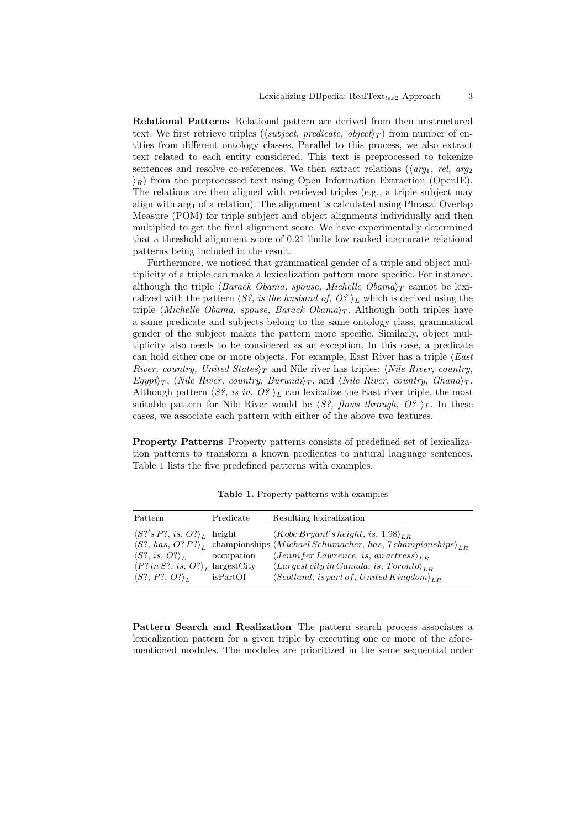Relational Patterns Relational pattern are derived from then unstructured text. We first retrieve triples ( $\langle subject, predicate, object \rangle_T$ ) from number of entities from different ontology classes. Parallel to this process, we also extract text related to each entity considered. This text is preprocessed to tokenize sentences and resolve co-references. We then extract relations ( $\langle \textit{arq}_1, \textit{rel}, \textit{arq}_2 \rangle$  $\langle R \rangle_R$  from the preprocessed text using Open Information Extraction (OpenIE). The relations are then aligned with retrieved triples (e.g., a triple subject may align with  $\arg_1$  of a relation). The alignment is calculated using Phrasal Overlap Measure (POM) for triple subject and object alignments individually and then multiplied to get the final alignment score. We have experimentally determined that a threshold alignment score of 0.21 limits low ranked inaccurate relational patterns being included in the result.

Furthermore, we noticed that grammatical gender of a triple and object multiplicity of a triple can make a lexicalization pattern more specific. For instance, although the triple  $\langle Barack Obama, spouse, Michelle Obama\rangle_T$  cannot be lexicalized with the pattern  $\langle S^2 \rangle$ , is the husband of,  $O^2$ , l<sub>L</sub> which is derived using the triple *(Michelle Obama, spouse, Barack Obama*) $\tau$ . Although both triples have a same predicate and subjects belong to the same ontology class, grammatical gender of the subject makes the pattern more specific. Similarly, object multiplicity also needs to be considered as an exception. In this case, a predicate can hold either one or more objects. For example, East River has a triple  $\langle East$ River, country, United States $\gamma_T$  and Nile river has triples: (Nile River, country, Egypt $\langle T, \langle$  Nile River, country, Burundi $\rangle_T$ , and  $\langle$  Nile River, country, Ghana $\rangle_T$ . Although pattern  $\langle S^2, is \infty, O^2 \rangle_L$  can lexicalize the East river triple, the most suitable pattern for Nile River would be  $\langle S^2, \text{flows through, } O^2 \rangle_L$ . In these cases, we associate each pattern with either of the above two features.

Property Patterns Property patterns consists of predefined set of lexicalization patterns to transform a known predicates to natural language sentences. Table [1](#page-2-0) lists the five predefined patterns with examples.

| Pattern                                                   | Predicate  | Resulting lexicalization                                                                                             |
|-----------------------------------------------------------|------------|----------------------------------------------------------------------------------------------------------------------|
| $\langle S? \rangle' s P?$ , is, $O?$ <sub>L</sub> height |            | $\langle Kobe\,Bryant's\,height,\, is,\,1.98\rangle_{LR}$                                                            |
|                                                           |            | $\langle S?$ , has, O? P? $\rangle_L$ championships $\langle Michael Schumacher, has, 7\,championships \rangle_{LR}$ |
| $\langle S?, is, O? \rangle_{L}$                          | occupation | $\langle Jennifer\,Lawrence,\,is,\,an\,actress\rangle_{LR}$                                                          |
| $\langle P?$ in S?, is, O? $\rangle_L$ largest City       |            | $\langle Largest\,city\,in Canada,\,is,\, Toronto\rangle_{LR}$                                                       |
| $\langle S?, P?, O?\rangle_L$                             | isPartOf   | $\langle Scotland, is part of, United Kingdom \rangle_{LR}$                                                          |

<span id="page-2-0"></span>Table 1. Property patterns with examples

Pattern Search and Realization The pattern search process associates a lexicalization pattern for a given triple by executing one or more of the aforementioned modules. The modules are prioritized in the same sequential order